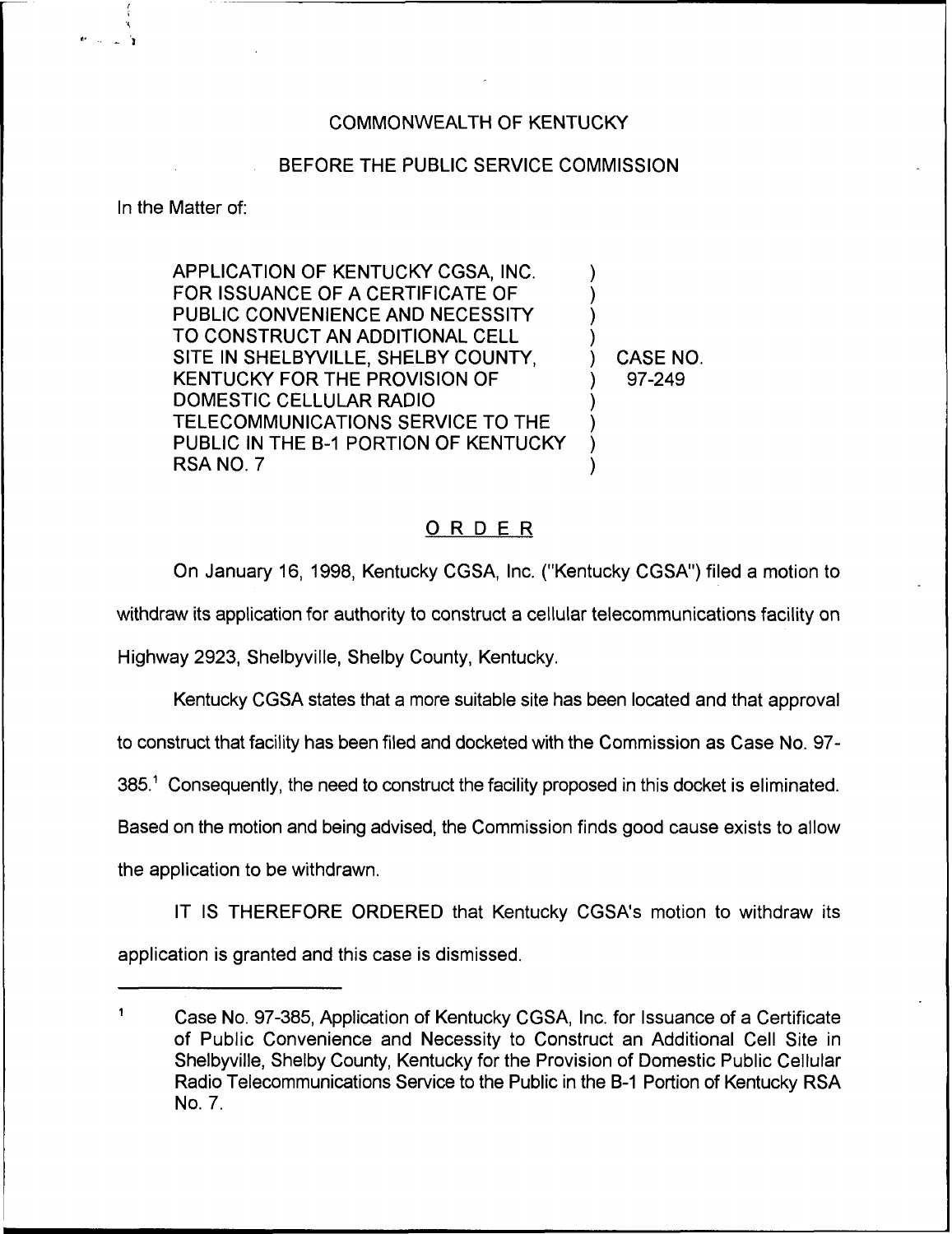## COMMONWEALTH OF KENTUCKY

## BEFORE THE PUBLIC SERVICE COMMISSION

In the Matter of:

APPLICATION OF KENTUCKY CGSA, INC. FOR ISSUANCE OF A CERTIFICATE OF PUBLIC CONVENIENCE AND NECESSITY TO CONSTRUCT AN ADDITIONAL CELL SITE IN SHELBYVILLE, SHELBY COUNTY, KENTUCKY FOR THE PROVISION OF DOMESTIC CELLULAR RADIO TELECOMMUNICATIONS SERVICE TO THE PUBLIC IN THE B-1 PORTION OF KENTUCKY RSA NO. 7

) CASE NO. ) 97-249

) ) ) )

) ) ) )

## ORDER

On January 16, 1998, Kentucky CGSA, Inc. ("Kentucky CGSA") filed a motion to

withdraw its application for authority to construct a cellular telecommunications facility on

Highway 2923, Shelbyville, Shelby County, Kentucky.

Kentucky CGSA states that a more suitable site has been located and that approval

to construct that facility has been filed and docketed with the Commission as Case No. 97-

 $385<sup>1</sup>$  Consequently, the need to construct the facility proposed in this docket is eliminated.

Based on the motion and being advised, the Commission finds good cause exists to allow

the application to be withdrawn.

IT IS THEREFORE ORDERED that Kentucky CGSA's motion to withdraw its application is granted and this case is dismissed.

Case No. 97-385, Application of Kentucky CGSA, Inc. for Issuance of a Certificate of Public Convenience and Necessity to Construct an Additional Cell Site in Shelbyville, Shelby County, Kentucky for the Provision of Domestic Public Cellular Radio Telecommunications Service to the Public in the B-1 Portion of Kentucky RSA No. 7.